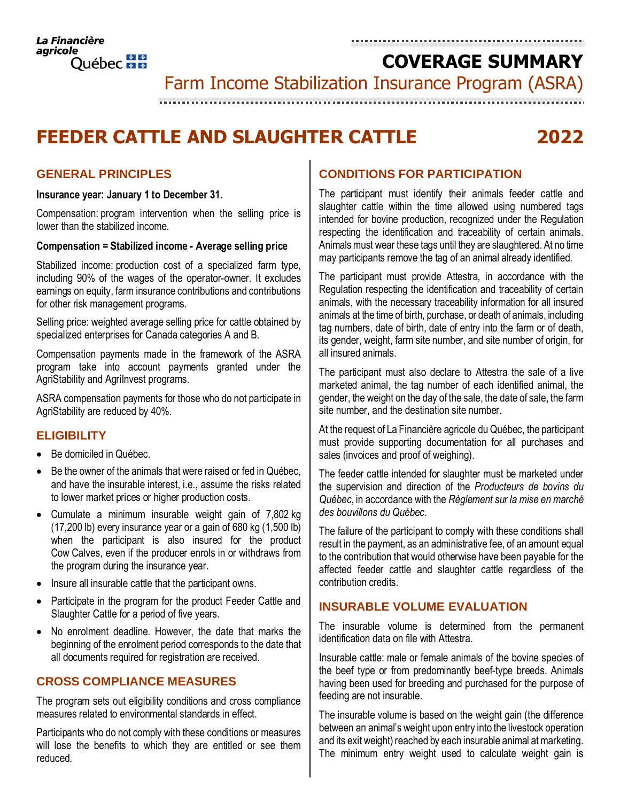**COVERAGE SUMMARY**

Farm Income Stabilization Insurance Program (ASRA)

# 

# **FEEDER CATTLE AND SLAUGHTER CATTLE 2022**

# **GENERAL PRINCIPLES**

#### **Insurance year: January 1 to December 31.**

Compensation: program intervention when the selling price is lower than the stabilized income.

#### **Compensation = Stabilized income - Average selling price**

Stabilized income: production cost of a specialized farm type, including 90% of the wages of the operator-owner. It excludes earnings on equity, farm insurance contributions and contributions for other risk management programs.

Selling price: weighted average selling price for cattle obtained by specialized enterprises for Canada categories A and B.

Compensation payments made in the framework of the ASRA program take into account payments granted under the AgriStability and AgriInvest programs.

ASRA compensation payments for those who do not participate in AgriStability are reduced by 40%.

## **ELIGIBILITY**

- Be domiciled in Québec.
- Be the owner of the animals that were raised or fed in Québec, and have the insurable interest, i.e., assume the risks related to lower market prices or higher production costs.
- Cumulate a minimum insurable weight gain of 7,802 kg (17,200 lb) every insurance year or a gain of 680 kg (1,500 lb) when the participant is also insured for the product Cow Calves, even if the producer enrols in or withdraws from the program during the insurance year.
- Insure all insurable cattle that the participant owns.
- Participate in the program for the product Feeder Cattle and Slaughter Cattle for a period of five years.
- No enrolment deadline. However, the date that marks the beginning of the enrolment period corresponds to the date that all documents required for registration are received.

# **CROSS COMPLIANCE MEASURES**

The program sets out eligibility conditions and cross compliance measures related to environmental standards in effect.

Participants who do not comply with these conditions or measures will lose the benefits to which they are entitled or see them reduced.

# **CONDITIONS FOR PARTICIPATION**

The participant must identify their animals feeder cattle and slaughter cattle within the time allowed using numbered tags intended for bovine production, recognized under the Regulation respecting the identification and traceability of certain animals. Animals must wear these tags until they are slaughtered. At no time may participants remove the tag of an animal already identified.

The participant must provide Attestra, in accordance with the Regulation respecting the identification and traceability of certain animals, with the necessary traceability information for all insured animals at the time of birth, purchase, or death of animals, including tag numbers, date of birth, date of entry into the farm or of death, its gender, weight, farm site number, and site number of origin, for all insured animals.

The participant must also declare to Attestra the sale of a live marketed animal, the tag number of each identified animal, the gender, the weight on the day of the sale, the date of sale, the farm site number, and the destination site number.

At the request of La Financière agricole du Québec, the participant must provide supporting documentation for all purchases and sales (invoices and proof of weighing).

The feeder cattle intended for slaughter must be marketed under the supervision and direction of the *Producteurs de bovins du Québec*, in accordance with the *Règlement sur la mise en marché des bouvillons du Québec*.

The failure of the participant to comply with these conditions shall result in the payment, as an administrative fee, of an amount equal to the contribution that would otherwise have been payable for the affected feeder cattle and slaughter cattle regardless of the contribution credits.

# **INSURABLE VOLUME EVALUATION**

The insurable volume is determined from the permanent identification data on file with Attestra.

Insurable cattle: male or female animals of the bovine species of the beef type or from predominantly beef-type breeds. Animals having been used for breeding and purchased for the purpose of feeding are not insurable.

The insurable volume is based on the weight gain (the difference between an animal's weight upon entry into the livestock operation and its exit weight) reached by each insurable animal at marketing. The minimum entry weight used to calculate weight gain is